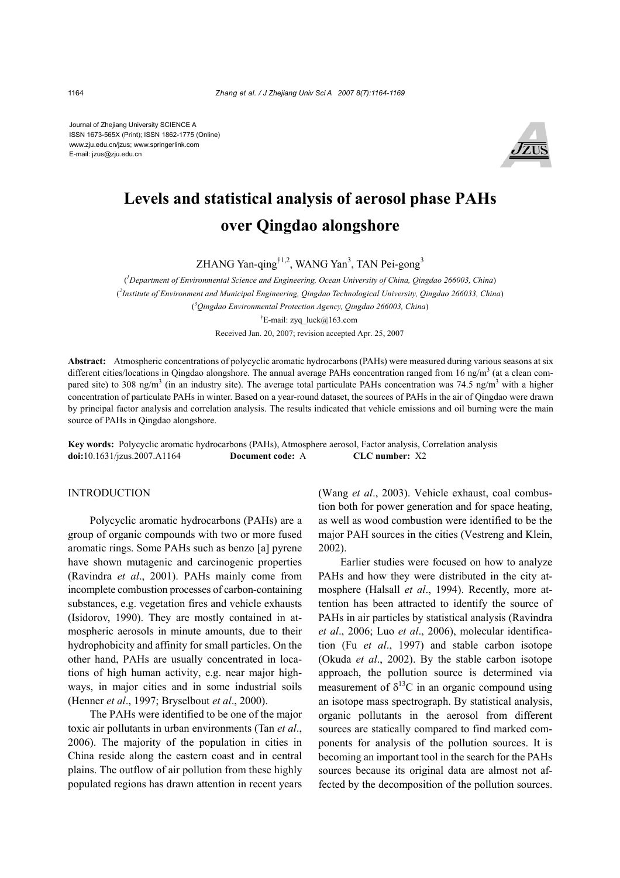Journal of Zhejiang University SCIENCE A ISSN 1673-565X (Print); ISSN 1862-1775 (Online) www.zju.edu.cn/jzus; www.springerlink.com E-mail: jzus@zju.edu.cn



# **Levels and statistical analysis of aerosol phase PAHs over Qingdao alongshore**

ZHANG Yan-qing<sup>†1,2</sup>, WANG Yan<sup>3</sup>, TAN Pei-gong<sup>3</sup>

( *1 Department of Environmental Science and Engineering, Ocean University of China, Qingdao 266003, China*) ( *2 Institute of Environment and Municipal Engineering, Qingdao Technological University, Qingdao 266033, China*) ( *3 Qingdao Environmental Protection Agency, Qingdao 266003, China*) † E-mail: zyq\_luck@163.com Received Jan. 20, 2007; revision accepted Apr. 25, 2007

**Abstract:** Atmospheric concentrations of polycyclic aromatic hydrocarbons (PAHs) were measured during various seasons at six different cities/locations in Qingdao alongshore. The annual average PAHs concentration ranged from 16 ng/m<sup>3</sup> (at a clean compared site) to 308 ng/m<sup>3</sup> (in an industry site). The average total particulate PAHs concentration was 74.5 ng/m<sup>3</sup> with a higher concentration of particulate PAHs in winter. Based on a year-round dataset, the sources of PAHs in the air of Qingdao were drawn by principal factor analysis and correlation analysis. The results indicated that vehicle emissions and oil burning were the main source of PAHs in Qingdao alongshore.

**Key words:** Polycyclic aromatic hydrocarbons (PAHs), Atmosphere aerosol, Factor analysis, Correlation analysis **doi:**10.1631/jzus.2007.A1164 **Document code:** A **CLC number:** X2

## INTRODUCTION

Polycyclic aromatic hydrocarbons (PAHs) are a group of organic compounds with two or more fused aromatic rings. Some PAHs such as benzo [a] pyrene have shown mutagenic and carcinogenic properties (Ravindra *et al*., 2001). PAHs mainly come from incomplete combustion processes of carbon-containing substances, e.g. vegetation fires and vehicle exhausts (Isidorov, 1990). They are mostly contained in atmospheric aerosols in minute amounts, due to their hydrophobicity and affinity for small particles. On the other hand, PAHs are usually concentrated in locations of high human activity, e.g. near major highways, in major cities and in some industrial soils (Henner *et al*., 1997; Bryselbout *et al*., 2000).

The PAHs were identified to be one of the major toxic air pollutants in urban environments (Tan *et al*., 2006). The majority of the population in cities in China reside along the eastern coast and in central plains. The outflow of air pollution from these highly populated regions has drawn attention in recent years

(Wang *et al*., 2003). Vehicle exhaust, coal combustion both for power generation and for space heating, as well as wood combustion were identified to be the major PAH sources in the cities (Vestreng and Klein, 2002).

Earlier studies were focused on how to analyze PAHs and how they were distributed in the city atmosphere (Halsall *et al*., 1994). Recently, more attention has been attracted to identify the source of PAHs in air particles by statistical analysis (Ravindra *et al*., 2006; Luo *et al*., 2006), molecular identification (Fu *et al*., 1997) and stable carbon isotope (Okuda *et al*., 2002). By the stable carbon isotope approach, the pollution source is determined via measurement of  $\delta^{13}$ C in an organic compound using an isotope mass spectrograph. By statistical analysis, organic pollutants in the aerosol from different sources are statically compared to find marked components for analysis of the pollution sources. It is becoming an important tool in the search for the PAHs sources because its original data are almost not affected by the decomposition of the pollution sources.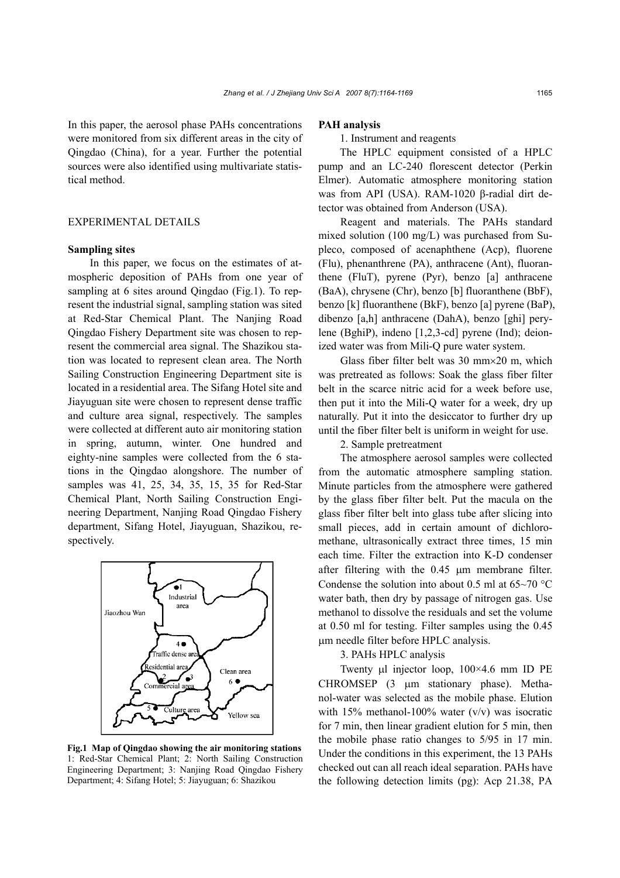In this paper, the aerosol phase PAHs concentrations were monitored from six different areas in the city of Qingdao (China), for a year. Further the potential sources were also identified using multivariate statistical method.

# EXPERIMENTAL DETAILS

# **Sampling sites**

In this paper, we focus on the estimates of atmospheric deposition of PAHs from one year of sampling at 6 sites around Qingdao (Fig.1). To represent the industrial signal, sampling station was sited at Red-Star Chemical Plant. The Nanjing Road Qingdao Fishery Department site was chosen to represent the commercial area signal. The Shazikou station was located to represent clean area. The North Sailing Construction Engineering Department site is located in a residential area. The Sifang Hotel site and Jiayuguan site were chosen to represent dense traffic and culture area signal, respectively. The samples were collected at different auto air monitoring station in spring, autumn, winter. One hundred and eighty-nine samples were collected from the 6 stations in the Qingdao alongshore. The number of samples was 41, 25, 34, 35, 15, 35 for Red-Star Chemical Plant, North Sailing Construction Engineering Department, Nanjing Road Qingdao Fishery department, Sifang Hotel, Jiayuguan, Shazikou, respectively.



**Fig.1 Map of Qingdao showing the air monitoring stations** 1: Red-Star Chemical Plant; 2: North Sailing Construction Engineering Department; 3: Nanjing Road Qingdao Fishery Department; 4: Sifang Hotel; 5: Jiayuguan; 6: Shazikou

## **PAH analysis**

1. Instrument and reagents

The HPLC equipment consisted of a HPLC pump and an LC-240 florescent detector (Perkin Elmer). Automatic atmosphere monitoring station was from API (USA). RAM-1020 β-radial dirt detector was obtained from Anderson (USA).

Reagent and materials. The PAHs standard mixed solution (100 mg/L) was purchased from Supleco, composed of acenaphthene (Acp), fluorene (Flu), phenanthrene (PA), anthracene (Ant), fluoranthene (FluT), pyrene (Pyr), benzo [a] anthracene (BaA), chrysene (Chr), benzo [b] fluoranthene (BbF), benzo [k] fluoranthene (BkF), benzo [a] pyrene (BaP), dibenzo [a,h] anthracene (DahA), benzo [ghi] perylene (BghiP), indeno [1,2,3-cd] pyrene (Ind); deionized water was from Mili-Q pure water system.

Glass fiber filter belt was 30 mm×20 m, which was pretreated as follows: Soak the glass fiber filter belt in the scarce nitric acid for a week before use, then put it into the Mili-Q water for a week, dry up naturally. Put it into the desiccator to further dry up until the fiber filter belt is uniform in weight for use.

2. Sample pretreatment

The atmosphere aerosol samples were collected from the automatic atmosphere sampling station. Minute particles from the atmosphere were gathered by the glass fiber filter belt. Put the macula on the glass fiber filter belt into glass tube after slicing into small pieces, add in certain amount of dichloromethane, ultrasonically extract three times, 15 min each time. Filter the extraction into K-D condenser after filtering with the 0.45 µm membrane filter. Condense the solution into about 0.5 ml at  $65\text{-}70$  °C water bath, then dry by passage of nitrogen gas. Use methanol to dissolve the residuals and set the volume at 0.50 ml for testing. Filter samples using the 0.45 µm needle filter before HPLC analysis.

3. PAHs HPLC analysis

Twenty µl injector loop,  $100 \times 4.6$  mm ID PE CHROMSEP (3 µm stationary phase). Methanol-water was selected as the mobile phase. Elution with 15% methanol-100% water  $(v/v)$  was isocratic for 7 min, then linear gradient elution for 5 min, then the mobile phase ratio changes to 5/95 in 17 min. Under the conditions in this experiment, the 13 PAHs checked out can all reach ideal separation. PAHs have the following detection limits (pg): Acp 21.38, PA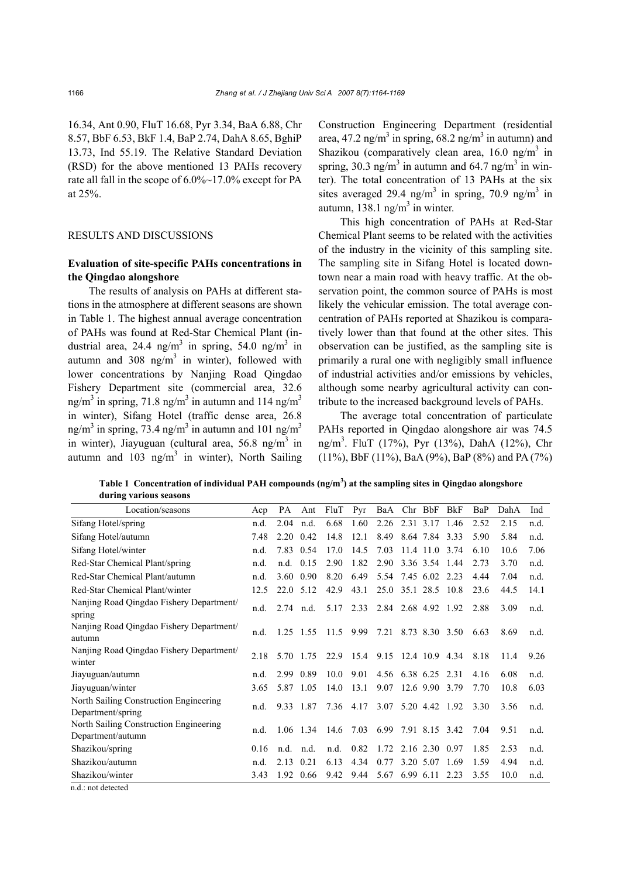16.34, Ant 0.90, FluT 16.68, Pyr 3.34, BaA 6.88, Chr 8.57, BbF 6.53, BkF 1.4, BaP 2.74, DahA 8.65, BghiP 13.73, Ind 55.19. The Relative Standard Deviation (RSD) for the above mentioned 13 PAHs recovery rate all fall in the scope of 6.0%~17.0% except for PA at 25%.

# RESULTS AND DISCUSSIONS

# **Evaluation of site-specific PAHs concentrations in the Qingdao alongshore**

The results of analysis on PAHs at different stations in the atmosphere at different seasons are shown in Table 1. The highest annual average concentration of PAHs was found at Red-Star Chemical Plant (industrial area, 24.4 ng/m<sup>3</sup> in spring, 54.0 ng/m<sup>3</sup> in autumn and 308 ng/m<sup>3</sup> in winter), followed with lower concentrations by Nanjing Road Qingdao Fishery Department site (commercial area, 32.6 ng/m<sup>3</sup> in spring, 71.8 ng/m<sup>3</sup> in autumn and 114 ng/m<sup>3</sup> in winter), Sifang Hotel (traffic dense area, 26.8 ng/m<sup>3</sup> in spring, 73.4 ng/m<sup>3</sup> in autumn and 101 ng/m<sup>3</sup> in winter), Jiayuguan (cultural area,  $56.8 \text{ ng/m}^3$  in autumn and 103 ng/m<sup>3</sup> in winter), North Sailing Construction Engineering Department (residential area, 47.2 ng/m<sup>3</sup> in spring, 68.2 ng/m<sup>3</sup> in autumn) and Shazikou (comparatively clean area,  $16.0 \text{ ng/m}^3$  in spring, 30.3 ng/m<sup>3</sup> in autumn and 64.7 ng/m<sup>3</sup> in winter). The total concentration of 13 PAHs at the six sites averaged 29.4 ng/m<sup>3</sup> in spring, 70.9 ng/m<sup>3</sup> in autumn, 138.1 ng/m<sup>3</sup> in winter.

This high concentration of PAHs at Red-Star Chemical Plant seems to be related with the activities of the industry in the vicinity of this sampling site. The sampling site in Sifang Hotel is located downtown near a main road with heavy traffic. At the observation point, the common source of PAHs is most likely the vehicular emission. The total average concentration of PAHs reported at Shazikou is comparatively lower than that found at the other sites. This observation can be justified, as the sampling site is primarily a rural one with negligibly small influence of industrial activities and/or emissions by vehicles, although some nearby agricultural activity can contribute to the increased background levels of PAHs.

The average total concentration of particulate PAHs reported in Qingdao alongshore air was 74.5 ng/m3 . FluT (17%), Pyr (13%), DahA (12%), Chr (11%), BbF (11%), BaA (9%), BaP (8%) and PA (7%)

**Table 1 Concentration of individual PAH compounds (ng/m<sup>3</sup> ) at the sampling sites in Qingdao alongshore during various seasons** 

| Location/seasons                                            | Acp  | <b>PA</b> | Ant       | FluT | Pyr  | BaA                 | Chr BbF   |                     | BkF   | BaP  | DahA | Ind  |
|-------------------------------------------------------------|------|-----------|-----------|------|------|---------------------|-----------|---------------------|-------|------|------|------|
| Sifang Hotel/spring                                         | n.d. | 2.04      | n.d.      | 6.68 | 1.60 | 2.26                | 2.31 3.17 |                     | -1.46 | 2.52 | 2.15 | n.d. |
| Sifang Hotel/autumn                                         | 7.48 | 2.20      | 0.42      | 14.8 | 12.1 | 8.49                |           | 8.64 7.84           | 3.33  | 5.90 | 5.84 | n.d. |
| Sifang Hotel/winter                                         | n.d. | 7.83      | 0.54      | 17.0 | 14.5 | 7.03                |           | $11.4$ 11.0         | 3.74  | 6.10 | 10.6 | 7.06 |
| Red-Star Chemical Plant/spring                              | n.d. | n.d.      | 0.15      | 2.90 | 1.82 | 2.90                |           | 3.36 3.54           | 144   | 2.73 | 3.70 | n.d. |
| Red-Star Chemical Plant/autumn                              | n.d. | 3.60      | 0.90      | 8.20 | 6.49 | 5.54                |           | 7.45 6.02           | 2.23  | 4.44 | 7.04 | n.d. |
| Red-Star Chemical Plant/winter                              | 12.5 | 22.0      | 5.12      | 42.9 | 43.1 | 25.0                |           | 35.1 28.5           | 10.8  | 23.6 | 44.5 | 14.1 |
| Nanjing Road Qingdao Fishery Department/<br>spring          | n.d. | 2.74      | n.d.      | 5.17 | 2.33 | 2.84 2.68 4.92 1.92 |           |                     |       | 2.88 | 3.09 | n.d. |
| Nanjing Road Qingdao Fishery Department/<br>autumn          | n.d. |           | 1.25 1.55 | 11.5 | 9.99 | 7.21 8.73 8.30 3.50 |           |                     |       | 6.63 | 8.69 | n.d. |
| Nanjing Road Qingdao Fishery Department/<br>winter          | 2.18 | 5.70      | 1.75      | 22.9 | 15.4 | 9.15 12.4 10.9 4.34 |           |                     |       | 8.18 | 11.4 | 9.26 |
| Jiayuguan/autumn                                            | n.d. | 2.99      | 0.89      | 10.0 | 9.01 |                     |           | 4.56 6.38 6.25 2.31 |       | 4.16 | 6.08 | n.d. |
| Jiayuguan/winter                                            | 3.65 | 5.87      | 1.05      | 14.0 | 13.1 | 9.07                |           | 12.6 9.90 3.79      |       | 7.70 | 10.8 | 6.03 |
| North Sailing Construction Engineering<br>Department/spring | n.d. | 9.33      | 1.87      | 7.36 | 4.17 | 3.07                | 5.20 4.42 |                     | 1.92  | 3.30 | 3.56 | n.d. |
| North Sailing Construction Engineering<br>Department/autumn | n.d. | 1.06      | 1.34      | 14.6 | 7.03 | 6.99                |           | 7.91 8.15 3.42      |       | 7.04 | 9.51 | n.d. |
| Shazikou/spring                                             | 0.16 | n.d.      | n.d.      | n.d. | 0.82 | 1.72                |           | 2.16 2.30           | 0.97  | 1.85 | 2.53 | n.d. |
| Shazikou/autumn                                             | n.d. | 2.13      | 0.21      | 6.13 | 4.34 | 0.77                | 3.20 5.07 |                     | 1.69  | 1.59 | 4.94 | n.d. |
| Shazikou/winter                                             | 3.43 | 1.92      | 0.66      | 9.42 | 9.44 | 5.67                | 6.99      | 6.11                | 2.23  | 3.55 | 10.0 | n.d. |

n.d.: not detected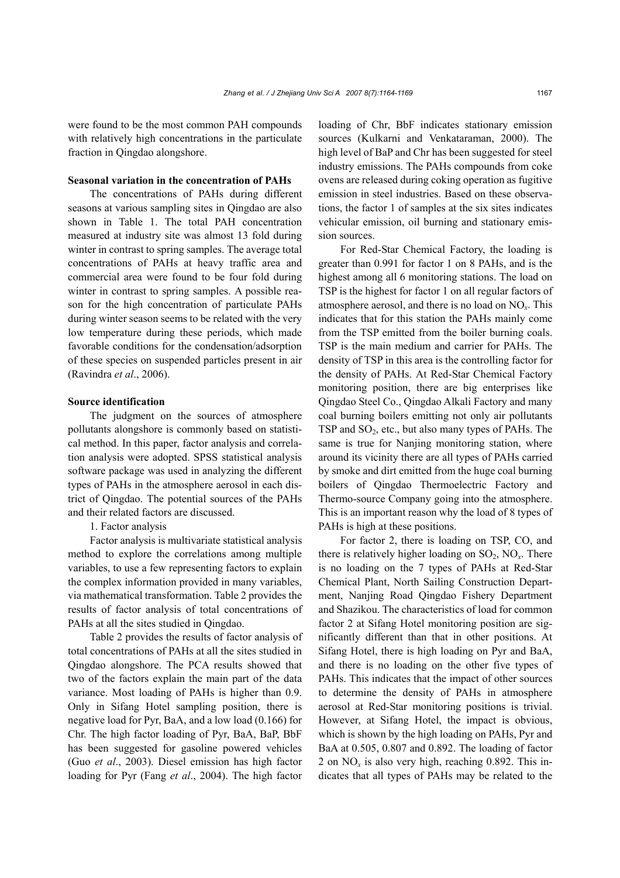were found to be the most common PAH compounds with relatively high concentrations in the particulate fraction in Qingdao alongshore.

# **Seasonal variation in the concentration of PAHs**

The concentrations of PAHs during different seasons at various sampling sites in Qingdao are also shown in Table 1. The total PAH concentration measured at industry site was almost 13 fold during winter in contrast to spring samples. The average total concentrations of PAHs at heavy traffic area and commercial area were found to be four fold during winter in contrast to spring samples. A possible reason for the high concentration of particulate PAHs during winter season seems to be related with the very low temperature during these periods, which made favorable conditions for the condensation/adsorption of these species on suspended particles present in air (Ravindra *et al*., 2006).

### **Source identification**

The judgment on the sources of atmosphere pollutants alongshore is commonly based on statistical method. In this paper, factor analysis and correlation analysis were adopted. SPSS statistical analysis software package was used in analyzing the different types of PAHs in the atmosphere aerosol in each district of Qingdao. The potential sources of the PAHs and their related factors are discussed.

1. Factor analysis

Factor analysis is multivariate statistical analysis method to explore the correlations among multiple variables, to use a few representing factors to explain the complex information provided in many variables, via mathematical transformation. Table 2 provides the results of factor analysis of total concentrations of PAHs at all the sites studied in Qingdao.

Table 2 provides the results of factor analysis of total concentrations of PAHs at all the sites studied in Qingdao alongshore. The PCA results showed that two of the factors explain the main part of the data variance. Most loading of PAHs is higher than 0.9. Only in Sifang Hotel sampling position, there is negative load for Pyr, BaA, and a low load (0.166) for Chr. The high factor loading of Pyr, BaA, BaP, BbF has been suggested for gasoline powered vehicles (Guo *et al*., 2003). Diesel emission has high factor loading for Pyr (Fang *et al*., 2004). The high factor

loading of Chr, BbF indicates stationary emission sources (Kulkarni and Venkataraman, 2000). The high level of BaP and Chr has been suggested for steel industry emissions. The PAHs compounds from coke ovens are released during coking operation as fugitive emission in steel industries. Based on these observations, the factor 1 of samples at the six sites indicates vehicular emission, oil burning and stationary emission sources.

For Red-Star Chemical Factory, the loading is greater than 0.991 for factor 1 on 8 PAHs, and is the highest among all 6 monitoring stations. The load on TSP is the highest for factor 1 on all regular factors of atmosphere aerosol, and there is no load on NO*x*. This indicates that for this station the PAHs mainly come from the TSP emitted from the boiler burning coals. TSP is the main medium and carrier for PAHs. The density of TSP in this area is the controlling factor for the density of PAHs. At Red-Star Chemical Factory monitoring position, there are big enterprises like Qingdao Steel Co., Qingdao Alkali Factory and many coal burning boilers emitting not only air pollutants TSP and  $SO<sub>2</sub>$ , etc., but also many types of PAHs. The same is true for Nanjing monitoring station, where around its vicinity there are all types of PAHs carried by smoke and dirt emitted from the huge coal burning boilers of Qingdao Thermoelectric Factory and Thermo-source Company going into the atmosphere. This is an important reason why the load of 8 types of PAHs is high at these positions.

For factor 2, there is loading on TSP, CO, and there is relatively higher loading on  $SO_2$ ,  $NO<sub>x</sub>$ . There is no loading on the 7 types of PAHs at Red-Star Chemical Plant, North Sailing Construction Department, Nanjing Road Qingdao Fishery Department and Shazikou. The characteristics of load for common factor 2 at Sifang Hotel monitoring position are significantly different than that in other positions. At Sifang Hotel, there is high loading on Pyr and BaA, and there is no loading on the other five types of PAHs. This indicates that the impact of other sources to determine the density of PAHs in atmosphere aerosol at Red-Star monitoring positions is trivial. However, at Sifang Hotel, the impact is obvious, which is shown by the high loading on PAHs, Pyr and BaA at 0.505, 0.807 and 0.892. The loading of factor 2 on  $NO<sub>x</sub>$  is also very high, reaching 0.892. This indicates that all types of PAHs may be related to the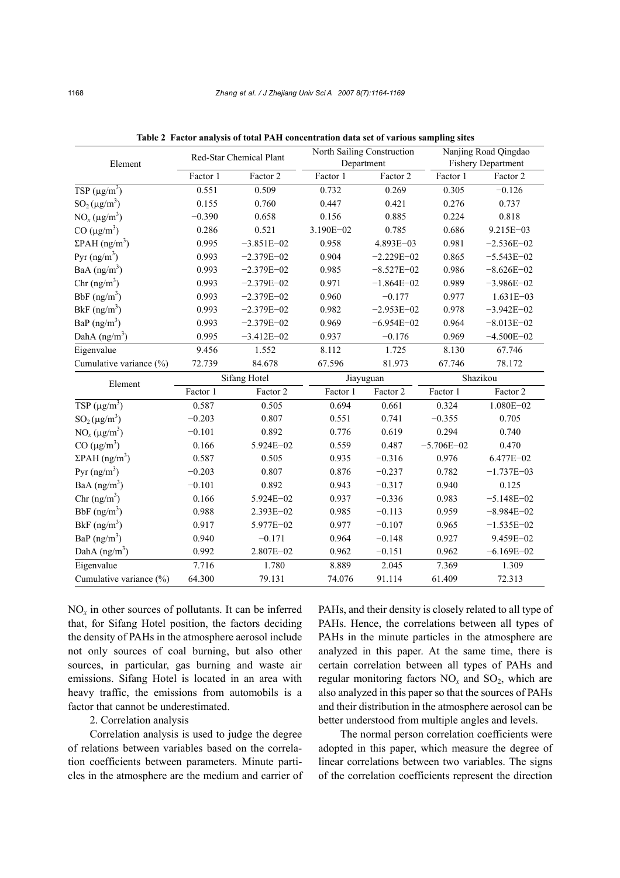|                                   | Red-Star Chemical Plant |                |                         | North Sailing Construction |                | Nanjing Road Qingdao      |  |  |  |
|-----------------------------------|-------------------------|----------------|-------------------------|----------------------------|----------------|---------------------------|--|--|--|
| Element                           |                         |                |                         | Department                 |                | <b>Fishery Department</b> |  |  |  |
|                                   | Factor 1                | Factor 2       | Factor 1                | Factor 2                   | Factor 1       | Factor 2                  |  |  |  |
| TSP $(\mu g/m^3)$                 | 0.551                   | 0.509          | 0.732                   | 0.269                      | 0.305          | $-0.126$                  |  |  |  |
| $SO_2(\mu g/m^3)$                 | 0.155                   | 0.760          | 0.447                   | 0.421                      | 0.276          | 0.737                     |  |  |  |
| $NO_x (\mu g/m^3)$                | $-0.390$                | 0.658          | 0.156                   | 0.885                      | 0.224          | 0.818                     |  |  |  |
| CO $(\mu g/m^3)$                  | 0.286                   | 0.521          | 3.190E-02               | 0.785                      | 0.686          | 9.215E-03                 |  |  |  |
| $\Sigma$ PAH (ng/m <sup>3</sup> ) | 0.995                   | $-3.851E - 02$ | 0.958                   | 4.893E-03                  | 0.981          | $-2.536E - 02$            |  |  |  |
| Pyr $(ng/m^3)$                    | 0.993                   | $-2.379E - 02$ | 0.904                   | $-2.229E - 02$             | 0.865          | $-5.543E - 02$            |  |  |  |
| BaA $(ng/m3)$                     | 0.993                   | $-2.379E - 02$ | 0.985                   | $-8.527E - 02$             | 0.986          | $-8.626E - 02$            |  |  |  |
| Chr $(ng/m3)$                     | 0.993                   | $-2.379E - 02$ | 0.971                   | $-1.864E - 02$             | 0.989          | $-3.986E - 02$            |  |  |  |
| BbF $(ng/m3)$                     | 0.993                   | $-2.379E - 02$ | 0.960                   | $-0.177$                   | 0.977          | $1.631E - 03$             |  |  |  |
| BkF $(ng/m3)$                     | 0.993                   | $-2.379E - 02$ | 0.982<br>$-2.953E - 02$ |                            | 0.978          | $-3.942E - 02$            |  |  |  |
| BaP $(ng/m^3)$                    | 0.993                   | $-2.379E - 02$ | 0.969                   | $-6.954E - 02$             |                | $-8.013E - 02$            |  |  |  |
| DahA $(ng/m3)$                    | 0.995                   | $-3.412E - 02$ | 0.937                   | $-0.176$                   | 0.969          | $-4.500E - 02$            |  |  |  |
| Eigenvalue                        | 9.456                   | 1.552          | 8.112                   | 1.725                      | 8.130          | 67.746                    |  |  |  |
| Cumulative variance (%)           | 72.739                  | 84.678         | 67.596<br>81.973        |                            | 67.746         | 78.172                    |  |  |  |
| Element                           | Sifang Hotel            |                |                         | Jiayuguan                  | Shazikou       |                           |  |  |  |
|                                   | Factor 1                | Factor 2       | Factor 1                | Factor $\overline{2}$      | Factor 1       | Factor 2                  |  |  |  |
| TSP $(\mu g/m^3)$                 | 0.587                   | 0.505          | 0.694                   | 0.661                      | 0.324          | 1.080E-02                 |  |  |  |
| $SO_2(\mu g/m^3)$                 | $-0.203$                | 0.807          | 0.551                   | 0.741                      | $-0.355$       | 0.705                     |  |  |  |
| $NO_x (\mu g/m^3)$                | $-0.101$                | 0.892          | 0.776                   | 0.619                      | 0.294          | 0.740                     |  |  |  |
| CO $(\mu g/m^3)$                  | 0.166                   | 5.924E-02      | 0.559                   | 0.487                      | $-5.706E - 02$ | 0.470                     |  |  |  |
| $\Sigma$ PAH (ng/m <sup>3</sup> ) | 0.587                   | 0.505          | 0.935                   | $-0.316$                   | 0.976          | 6.477E-02                 |  |  |  |
| Pyr $(ng/m^3)$                    | $-0.203$                | 0.807          | 0.876                   | $-0.237$                   | 0.782          | $-1.737E - 03$            |  |  |  |
| BaA $(ng/m3)$                     | $-0.101$                | 0.892          | 0.943                   | $-0.317$                   | 0.940          | 0.125                     |  |  |  |
| Chr $(ng/m^3)$                    | 0.166                   | 5.924E-02      | 0.937                   | $-0.336$                   | 0.983          | $-5.148E - 02$            |  |  |  |
| BbF $(ng/m3)$                     | 0.988                   | 2.393E-02      | 0.985                   | $-0.113$                   | 0.959          | $-8.984E - 02$            |  |  |  |
| BkF $(ng/m^3)$                    | 0.917                   | 5.977E-02      | 0.977                   | $-0.107$                   | 0.965          | $-1.535E - 02$            |  |  |  |
| BaP $(ng/m3)$                     | 0.940                   | $-0.171$       | 0.964                   | $-0.148$                   | 0.927          | 9.459E-02                 |  |  |  |
| DahA $(ng/m3)$                    | 0.992                   | $2.807E - 02$  | 0.962                   | $-0.151$                   | 0.962          | $-6.169E - 02$            |  |  |  |
| Eigenvalue                        | 7.716                   | 1.780          | 8.889                   | 2.045                      | 7.369          | 1.309                     |  |  |  |
| Cumulative variance (%)           | 64.300                  | 79.131         | 74.076                  | 91.114                     | 61.409         | 72.313                    |  |  |  |

**Table 2 Factor analysis of total PAH concentration data set of various sampling sites** 

 $NO<sub>x</sub>$  in other sources of pollutants. It can be inferred that, for Sifang Hotel position, the factors deciding the density of PAHs in the atmosphere aerosol include not only sources of coal burning, but also other sources, in particular, gas burning and waste air emissions. Sifang Hotel is located in an area with heavy traffic, the emissions from automobils is a factor that cannot be underestimated.

#### 2. Correlation analysis

Correlation analysis is used to judge the degree of relations between variables based on the correlation coefficients between parameters. Minute particles in the atmosphere are the medium and carrier of PAHs, and their density is closely related to all type of PAHs. Hence, the correlations between all types of PAHs in the minute particles in the atmosphere are analyzed in this paper. At the same time, there is certain correlation between all types of PAHs and regular monitoring factors  $NO<sub>x</sub>$  and  $SO<sub>2</sub>$ , which are also analyzed in this paper so that the sources of PAHs and their distribution in the atmosphere aerosol can be better understood from multiple angles and levels.

The normal person correlation coefficients were adopted in this paper, which measure the degree of linear correlations between two variables. The signs of the correlation coefficients represent the direction